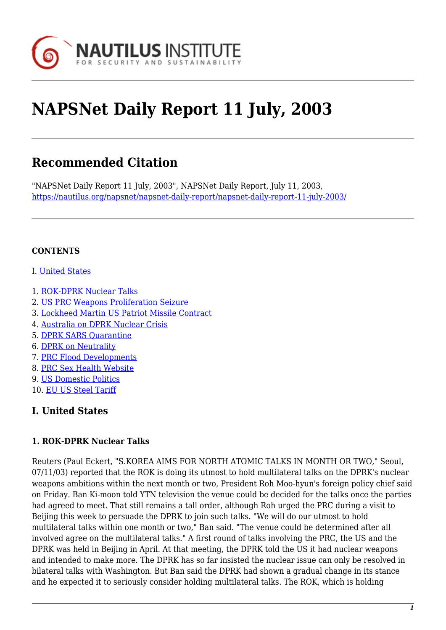

# **NAPSNet Daily Report 11 July, 2003**

# **Recommended Citation**

"NAPSNet Daily Report 11 July, 2003", NAPSNet Daily Report, July 11, 2003, <https://nautilus.org/napsnet/napsnet-daily-report/napsnet-daily-report-11-july-2003/>

#### **CONTENTS**

- I. [United States](#page-0-0)
- 1. [ROK-DPRK Nuclear Talks](#page-0-1)
- 2. [US PRC Weapons Proliferation Seizure](#page-1-0)
- 3. [Lockheed Martin US Patriot Missile Contract](#page-1-1)
- 4. [Australia on DPRK Nuclear Crisis](#page-2-0)
- 5. [DPRK SARS Quarantine](#page-2-1)
- 6. [DPRK on Neutrality](#page-3-0)
- 7. [PRC Flood Developments](#page-3-1)
- 8. [PRC Sex Health Website](#page-3-2)
- 9. [US Domestic Politics](#page-4-0)
- 10. [EU US Steel Tariff](#page-4-1)

# <span id="page-0-0"></span>**I. United States**

# <span id="page-0-1"></span>**1. ROK-DPRK Nuclear Talks**

Reuters (Paul Eckert, "S.KOREA AIMS FOR NORTH ATOMIC TALKS IN MONTH OR TWO," Seoul, 07/11/03) reported that the ROK is doing its utmost to hold multilateral talks on the DPRK's nuclear weapons ambitions within the next month or two, President Roh Moo-hyun's foreign policy chief said on Friday. Ban Ki-moon told YTN television the venue could be decided for the talks once the parties had agreed to meet. That still remains a tall order, although Roh urged the PRC during a visit to Beijing this week to persuade the DPRK to join such talks. "We will do our utmost to hold multilateral talks within one month or two," Ban said. "The venue could be determined after all involved agree on the multilateral talks." A first round of talks involving the PRC, the US and the DPRK was held in Beijing in April. At that meeting, the DPRK told the US it had nuclear weapons and intended to make more. The DPRK has so far insisted the nuclear issue can only be resolved in bilateral talks with Washington. But Ban said the DPRK had shown a gradual change in its stance and he expected it to seriously consider holding multilateral talks. The ROK, which is holding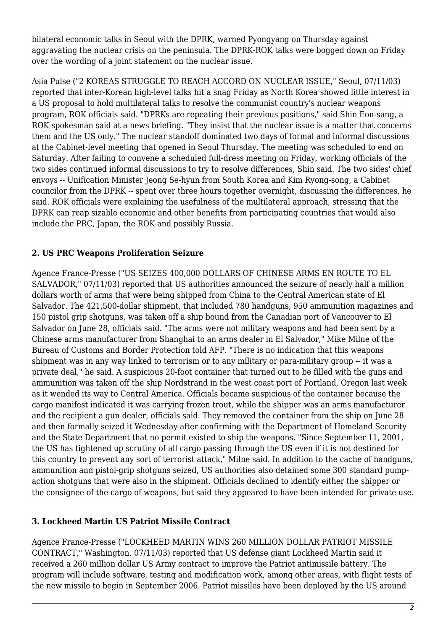bilateral economic talks in Seoul with the DPRK, warned Pyongyang on Thursday against aggravating the nuclear crisis on the peninsula. The DPRK-ROK talks were bogged down on Friday over the wording of a joint statement on the nuclear issue.

Asia Pulse ("2 KOREAS STRUGGLE TO REACH ACCORD ON NUCLEAR ISSUE," Seoul, 07/11/03) reported that inter-Korean high-level talks hit a snag Friday as North Korea showed little interest in a US proposal to hold multilateral talks to resolve the communist country's nuclear weapons program, ROK officials said. "DPRKs are repeating their previous positions," said Shin Eon-sang, a ROK spokesman said at a news briefing. "They insist that the nuclear issue is a matter that concerns them and the US only." The nuclear standoff dominated two days of formal and informal discussions at the Cabinet-level meeting that opened in Seoul Thursday. The meeting was scheduled to end on Saturday. After failing to convene a scheduled full-dress meeting on Friday, working officials of the two sides continued informal discussions to try to resolve differences, Shin said. The two sides' chief envoys -- Unification Minister Jeong Se-hyun from South Korea and Kim Ryong-song, a Cabinet councilor from the DPRK -- spent over three hours together overnight, discussing the differences, he said. ROK officials were explaining the usefulness of the multilateral approach, stressing that the DPRK can reap sizable economic and other benefits from participating countries that would also include the PRC, Japan, the ROK and possibly Russia.

# <span id="page-1-0"></span>**2. US PRC Weapons Proliferation Seizure**

Agence France-Presse ("US SEIZES 400,000 DOLLARS OF CHINESE ARMS EN ROUTE TO EL SALVADOR," 07/11/03) reported that US authorities announced the seizure of nearly half a million dollars worth of arms that were being shipped from China to the Central American state of El Salvador. The 421,500-dollar shipment, that included 780 handguns, 950 ammunition magazines and 150 pistol grip shotguns, was taken off a ship bound from the Canadian port of Vancouver to El Salvador on June 28, officials said. "The arms were not military weapons and had been sent by a Chinese arms manufacturer from Shanghai to an arms dealer in El Salvador," Mike Milne of the Bureau of Customs and Border Protection told AFP. "There is no indication that this weapons shipment was in any way linked to terrorism or to any military or para-military group -- it was a private deal," he said. A suspicious 20-foot container that turned out to be filled with the guns and ammunition was taken off the ship Nordstrand in the west coast port of Portland, Oregon last week as it wended its way to Central America. Officials became suspicious of the container because the cargo manifest indicated it was carrying frozen trout, while the shipper was an arms manufacturer and the recipient a gun dealer, officials said. They removed the container from the ship on June 28 and then formally seized it Wednesday after confirming with the Department of Homeland Security and the State Department that no permit existed to ship the weapons. "Since September 11, 2001, the US has tightened up scrutiny of all cargo passing through the US even if it is not destined for this country to prevent any sort of terrorist attack," Milne said. In addition to the cache of handguns, ammunition and pistol-grip shotguns seized, US authorities also detained some 300 standard pumpaction shotguns that were also in the shipment. Officials declined to identify either the shipper or the consignee of the cargo of weapons, but said they appeared to have been intended for private use.

#### <span id="page-1-1"></span>**3. Lockheed Martin US Patriot Missile Contract**

Agence France-Presse ("LOCKHEED MARTIN WINS 260 MILLION DOLLAR PATRIOT MISSILE CONTRACT," Washington, 07/11/03) reported that US defense giant Lockheed Martin said it received a 260 million dollar US Army contract to improve the Patriot antimissile battery. The program will include software, testing and modification work, among other areas, with flight tests of the new missile to begin in September 2006. Patriot missiles have been deployed by the US around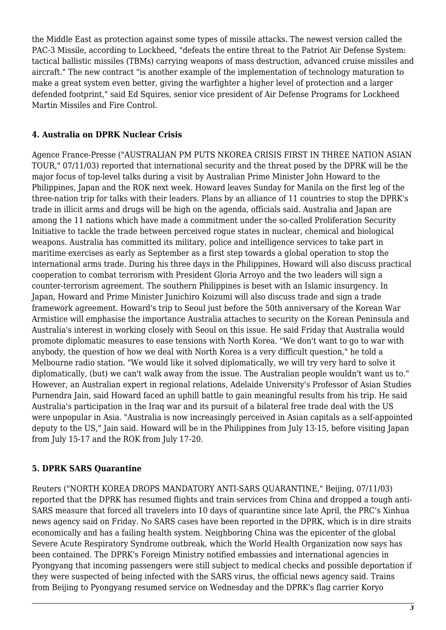the Middle East as protection against some types of missile attacks. The newest version called the PAC-3 Missile, according to Lockheed, "defeats the entire threat to the Patriot Air Defense System: tactical ballistic missiles (TBMs) carrying weapons of mass destruction, advanced cruise missiles and aircraft." The new contract "is another example of the implementation of technology maturation to make a great system even better, giving the warfighter a higher level of protection and a larger defended footprint," said Ed Squires, senior vice president of Air Defense Programs for Lockheed Martin Missiles and Fire Control.

#### <span id="page-2-0"></span>**4. Australia on DPRK Nuclear Crisis**

Agence France-Presse ("AUSTRALIAN PM PUTS NKOREA CRISIS FIRST IN THREE NATION ASIAN TOUR," 07/11/03) reported that international security and the threat posed by the DPRK will be the major focus of top-level talks during a visit by Australian Prime Minister John Howard to the Philippines, Japan and the ROK next week. Howard leaves Sunday for Manila on the first leg of the three-nation trip for talks with their leaders. Plans by an alliance of 11 countries to stop the DPRK's trade in illicit arms and drugs will be high on the agenda, officials said. Australia and Japan are among the 11 nations which have made a commitment under the so-called Proliferation Security Initiative to tackle the trade between perceived rogue states in nuclear, chemical and biological weapons. Australia has committed its military, police and intelligence services to take part in maritime exercises as early as September as a first step towards a global operation to stop the international arms trade. During his three days in the Philippines, Howard will also discuss practical cooperation to combat terrorism with President Gloria Arroyo and the two leaders will sign a counter-terrorism agreement. The southern Philippines is beset with an Islamic insurgency. In Japan, Howard and Prime Minister Junichiro Koizumi will also discuss trade and sign a trade framework agreement. Howard's trip to Seoul just before the 50th anniversary of the Korean War Armistice will emphasise the importance Australia attaches to security on the Korean Peninsula and Australia's interest in working closely with Seoul on this issue. He said Friday that Australia would promote diplomatic measures to ease tensions with North Korea. "We don't want to go to war with anybody, the question of how we deal with North Korea is a very difficult question," he told a Melbourne radio station. "We would like it solved diplomatically, we will try very hard to solve it diplomatically, (but) we can't walk away from the issue. The Australian people wouldn't want us to." However, an Australian expert in regional relations, Adelaide University's Professor of Asian Studies Purnendra Jain, said Howard faced an uphill battle to gain meaningful results from his trip. He said Australia's participation in the Iraq war and its pursuit of a bilateral free trade deal with the US were unpopular in Asia. "Australia is now increasingly perceived in Asian capitals as a self-appointed deputy to the US," Jain said. Howard will be in the Philippines from July 13-15, before visiting Japan from July 15-17 and the ROK from July 17-20.

#### <span id="page-2-1"></span>**5. DPRK SARS Quarantine**

Reuters ("NORTH KOREA DROPS MANDATORY ANTI-SARS QUARANTINE," Beijing, 07/11/03) reported that the DPRK has resumed flights and train services from China and dropped a tough anti-SARS measure that forced all travelers into 10 days of quarantine since late April, the PRC's Xinhua news agency said on Friday. No SARS cases have been reported in the DPRK, which is in dire straits economically and has a failing health system. Neighboring China was the epicenter of the global Severe Acute Respiratory Syndrome outbreak, which the World Health Organization now says has been contained. The DPRK's Foreign Ministry notified embassies and international agencies in Pyongyang that incoming passengers were still subject to medical checks and possible deportation if they were suspected of being infected with the SARS virus, the official news agency said. Trains from Beijing to Pyongyang resumed service on Wednesday and the DPRK's flag carrier Koryo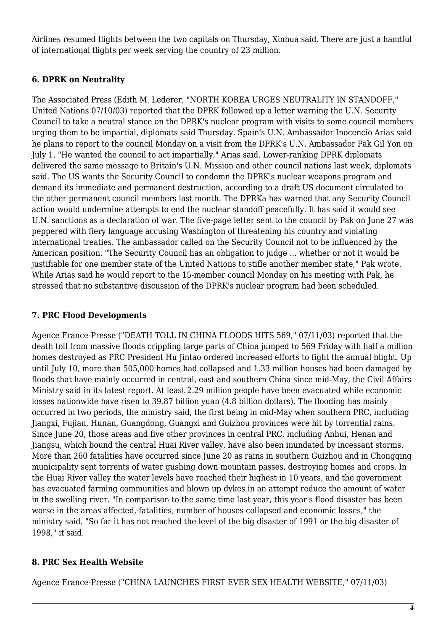Airlines resumed flights between the two capitals on Thursday, Xinhua said. There are just a handful of international flights per week serving the country of 23 million.

# <span id="page-3-0"></span>**6. DPRK on Neutrality**

The Associated Press (Edith M. Lederer, "NORTH KOREA URGES NEUTRALITY IN STANDOFF," United Nations 07/10/03) reported that the DPRK followed up a letter warning the U.N. Security Council to take a neutral stance on the DPRK's nuclear program with visits to some council members urging them to be impartial, diplomats said Thursday. Spain's U.N. Ambassador Inocencio Arias said he plans to report to the council Monday on a visit from the DPRK's U.N. Ambassador Pak Gil Yon on July 1. "He wanted the council to act impartially," Arias said. Lower-ranking DPRK diplomats delivered the same message to Britain's U.N. Mission and other council nations last week, diplomats said. The US wants the Security Council to condemn the DPRK's nuclear weapons program and demand its immediate and permanent destruction, according to a draft US document circulated to the other permanent council members last month. The DPRKa has warned that any Security Council action would undermine attempts to end the nuclear standoff peacefully. It has said it would see U.N. sanctions as a declaration of war. The five-page letter sent to the council by Pak on June 27 was peppered with fiery language accusing Washington of threatening his country and violating international treaties. The ambassador called on the Security Council not to be influenced by the American position. "The Security Council has an obligation to judge ... whether or not it would be justifiable for one member state of the United Nations to stifle another member state," Pak wrote. While Arias said he would report to the 15-member council Monday on his meeting with Pak, he stressed that no substantive discussion of the DPRK's nuclear program had been scheduled.

# <span id="page-3-1"></span>**7. PRC Flood Developments**

Agence France-Presse ("DEATH TOLL IN CHINA FLOODS HITS 569," 07/11/03) reported that the death toll from massive floods crippling large parts of China jumped to 569 Friday with half a million homes destroyed as PRC President Hu Jintao ordered increased efforts to fight the annual blight. Up until July 10, more than 505,000 homes had collapsed and 1.33 million houses had been damaged by floods that have mainly occurred in central, east and southern China since mid-May, the Civil Affairs Ministry said in its latest report. At least 2.29 million people have been evacuated while economic losses nationwide have risen to 39.87 billion yuan (4.8 billion dollars). The flooding has mainly occurred in two periods, the ministry said, the first being in mid-May when southern PRC, including Jiangxi, Fujian, Hunan, Guangdong, Guangxi and Guizhou provinces were hit by torrential rains. Since June 20, those areas and five other provinces in central PRC, including Anhui, Henan and Jiangsu, which bound the central Huai River valley, have also been inundated by incessant storms. More than 260 fatalities have occurred since June 20 as rains in southern Guizhou and in Chongqing municipality sent torrents of water gushing down mountain passes, destroying homes and crops. In the Huai River valley the water levels have reached their highest in 10 years, and the government has evacuated farming communities and blown up dykes in an attempt reduce the amount of water in the swelling river. "In comparison to the same time last year, this year's flood disaster has been worse in the areas affected, fatalities, number of houses collapsed and economic losses," the ministry said. "So far it has not reached the level of the big disaster of 1991 or the big disaster of 1998," it said.

# <span id="page-3-2"></span>**8. PRC Sex Health Website**

Agence France-Presse ("CHINA LAUNCHES FIRST EVER SEX HEALTH WEBSITE," 07/11/03)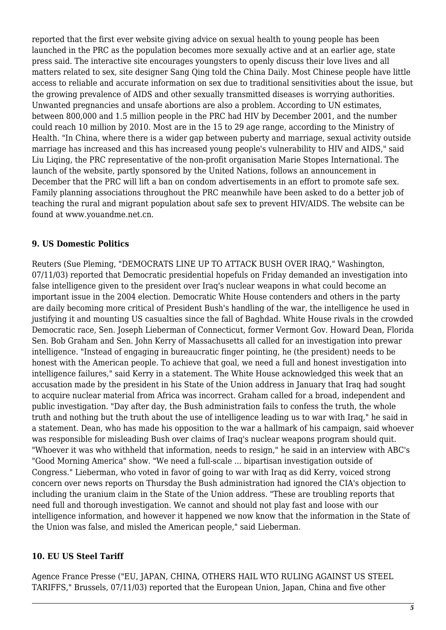reported that the first ever website giving advice on sexual health to young people has been launched in the PRC as the population becomes more sexually active and at an earlier age, state press said. The interactive site encourages youngsters to openly discuss their love lives and all matters related to sex, site designer Sang Qing told the China Daily. Most Chinese people have little access to reliable and accurate information on sex due to traditional sensitivities about the issue, but the growing prevalence of AIDS and other sexually transmitted diseases is worrying authorities. Unwanted pregnancies and unsafe abortions are also a problem. According to UN estimates, between 800,000 and 1.5 million people in the PRC had HIV by December 2001, and the number could reach 10 million by 2010. Most are in the 15 to 29 age range, according to the Ministry of Health. "In China, where there is a wider gap between puberty and marriage, sexual activity outside marriage has increased and this has increased young people's vulnerability to HIV and AIDS," said Liu Liqing, the PRC representative of the non-profit organisation Marie Stopes International. The launch of the website, partly sponsored by the United Nations, follows an announcement in December that the PRC will lift a ban on condom advertisements in an effort to promote safe sex. Family planning associations throughout the PRC meanwhile have been asked to do a better job of teaching the rural and migrant population about safe sex to prevent HIV/AIDS. The website can be found at www.youandme.net.cn.

#### <span id="page-4-0"></span>**9. US Domestic Politics**

Reuters (Sue Pleming, "DEMOCRATS LINE UP TO ATTACK BUSH OVER IRAQ," Washington, 07/11/03) reported that Democratic presidential hopefuls on Friday demanded an investigation into false intelligence given to the president over Iraq's nuclear weapons in what could become an important issue in the 2004 election. Democratic White House contenders and others in the party are daily becoming more critical of President Bush's handling of the war, the intelligence he used in justifying it and mounting US casualties since the fall of Baghdad. White House rivals in the crowded Democratic race, Sen. Joseph Lieberman of Connecticut, former Vermont Gov. Howard Dean, Florida Sen. Bob Graham and Sen. John Kerry of Massachusetts all called for an investigation into prewar intelligence. "Instead of engaging in bureaucratic finger pointing, he (the president) needs to be honest with the American people. To achieve that goal, we need a full and honest investigation into intelligence failures," said Kerry in a statement. The White House acknowledged this week that an accusation made by the president in his State of the Union address in January that Iraq had sought to acquire nuclear material from Africa was incorrect. Graham called for a broad, independent and public investigation. "Day after day, the Bush administration fails to confess the truth, the whole truth and nothing but the truth about the use of intelligence leading us to war with Iraq," he said in a statement. Dean, who has made his opposition to the war a hallmark of his campaign, said whoever was responsible for misleading Bush over claims of Iraq's nuclear weapons program should quit. "Whoever it was who withheld that information, needs to resign," he said in an interview with ABC's "Good Morning America" show. "We need a full-scale ... bipartisan investigation outside of Congress." Lieberman, who voted in favor of going to war with Iraq as did Kerry, voiced strong concern over news reports on Thursday the Bush administration had ignored the CIA's objection to including the uranium claim in the State of the Union address. "These are troubling reports that need full and thorough investigation. We cannot and should not play fast and loose with our intelligence information, and however it happened we now know that the information in the State of the Union was false, and misled the American people," said Lieberman.

#### <span id="page-4-1"></span>**10. EU US Steel Tariff**

Agence France Presse ("EU, JAPAN, CHINA, OTHERS HAIL WTO RULING AGAINST US STEEL TARIFFS," Brussels, 07/11/03) reported that the European Union, Japan, China and five other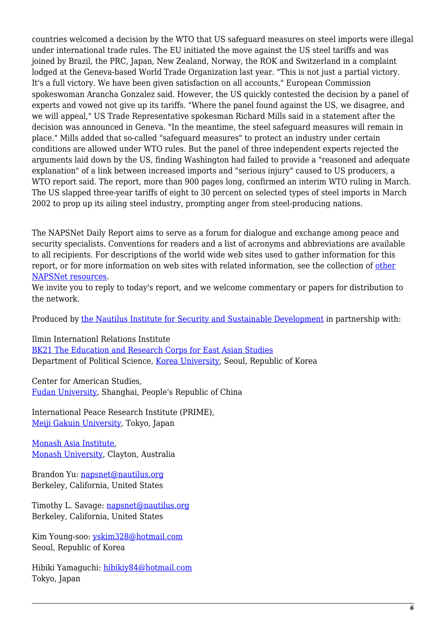countries welcomed a decision by the WTO that US safeguard measures on steel imports were illegal under international trade rules. The EU initiated the move against the US steel tariffs and was joined by Brazil, the PRC, Japan, New Zealand, Norway, the ROK and Switzerland in a complaint lodged at the Geneva-based World Trade Organization last year. "This is not just a partial victory. It's a full victory. We have been given satisfaction on all accounts," European Commission spokeswoman Arancha Gonzalez said. However, the US quickly contested the decision by a panel of experts and vowed not give up its tariffs. "Where the panel found against the US, we disagree, and we will appeal," US Trade Representative spokesman Richard Mills said in a statement after the decision was announced in Geneva. "In the meantime, the steel safeguard measures will remain in place." Mills added that so-called "safeguard measures" to protect an industry under certain conditions are allowed under WTO rules. But the panel of three independent experts rejected the arguments laid down by the US, finding Washington had failed to provide a "reasoned and adequate explanation" of a link between increased imports and "serious injury" caused to US producers, a WTO report said. The report, more than 900 pages long, confirmed an interim WTO ruling in March. The US slapped three-year tariffs of eight to 30 percent on selected types of steel imports in March 2002 to prop up its ailing steel industry, prompting anger from steel-producing nations.

The NAPSNet Daily Report aims to serve as a forum for dialogue and exchange among peace and security specialists. Conventions for readers and a list of acronyms and abbreviations are available to all recipients. For descriptions of the world wide web sites used to gather information for this report, or for more information on web sites with related information, see the collection of [other](http://nautilus.org/kiosk/weblinks.html) [NAPSNet resources.](http://nautilus.org/kiosk/weblinks.html)

We invite you to reply to today's report, and we welcome commentary or papers for distribution to the network.

Produced by [the Nautilus Institute for Security and Sustainable Development](http://nautilus.org/admin/about.html) in partnership with:

Ilmin Internationl Relations Institute

[BK21 The Education and Research Corps for East Asian Studies](http://web.korea.ac.kr/~politics/index.html) Department of Political Science, [Korea University,](http://www.korea.ac.kr/) Seoul, Republic of Korea

Center for American Studies, [Fudan University](http://www.fudan.edu.cn/English/nsindex.html), Shanghai, People's Republic of China

International Peace Research Institute (PRIME), [Meiji Gakuin University,](http://www.meijigakuin.ac.jp) Tokyo, Japan

[Monash Asia Institute,](http://www.adm.monash.edu.au) [Monash University](http://www.monash.edu.au/), Clayton, Australia

Brandon Yu: [napsnet@nautilus.org](mailto:napsnet@nautilus.org) Berkeley, California, United States

Timothy L. Savage: [napsnet@nautilus.org](mailto:napsnet@nautilus.org) Berkeley, California, United States

Kim Young-soo: [yskim328@hotmail.com](mailto:yskim328@hotmail.com) Seoul, Republic of Korea

Hibiki Yamaguchi: [hibikiy84@hotmail.com](mailto:hibikiy@dh.mbn.or.jp) Tokyo, Japan